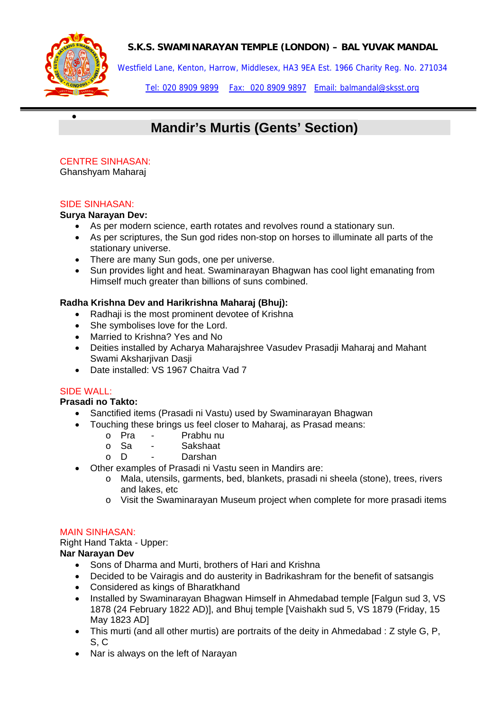



•

Westfield Lane, Kenton, Harrow, Middlesex, HA3 9EA Est. 1966 Charity Reg. No. 271034

Tel: 020 8909 9899 Fax: 020 8909 9897 Email: balmandal@sksst.org

# **Mandir's Murtis (Gents' Section)**

# CENTRE SINHASAN:

Ghanshyam Maharaj

#### SIDE SINHASAN:

#### **Surya Narayan Dev:**

- As per modern science, earth rotates and revolves round a stationary sun.
- As per scriptures, the Sun god rides non-stop on horses to illuminate all parts of the stationary universe.
- There are many Sun gods, one per universe.
- Sun provides light and heat. Swaminarayan Bhagwan has cool light emanating from Himself much greater than billions of suns combined.

# **Radha Krishna Dev and Harikrishna Maharaj (Bhuj):**

- Radhaji is the most prominent devotee of Krishna
- She symbolises love for the Lord.
- Married to Krishna? Yes and No
- Deities installed by Acharya Maharajshree Vasudev Prasadji Maharaj and Mahant Swami Aksharjivan Dasji
- Date installed: VS 1967 Chaitra Vad 7

#### SIDE WALL:

#### **Prasadi no Takto:**

- Sanctified items (Prasadi ni Vastu) used by Swaminarayan Bhagwan
- Touching these brings us feel closer to Maharaj, as Prasad means:
	- o Pra Prabhu nu<br>o Sa Sakshaat
	- o <mark>Sa Sakshaat</mark><br>o D Darshan
	- Darshan
	- Other examples of Prasadi ni Vastu seen in Mandirs are:
		- o Mala, utensils, garments, bed, blankets, prasadi ni sheela (stone), trees, rivers and lakes, etc
		- o Visit the Swaminarayan Museum project when complete for more prasadi items

#### MAIN SINHASAN:

Right Hand Takta - Upper: **Nar Narayan Dev** 

- Sons of Dharma and Murti, brothers of Hari and Krishna
- Decided to be Vairagis and do austerity in Badrikashram for the benefit of satsangis
- Considered as kings of Bharatkhand
- Installed by Swaminarayan Bhagwan Himself in Ahmedabad temple [Falgun sud 3, VS 1878 (24 February 1822 AD)], and Bhuj temple [Vaishakh sud 5, VS 1879 (Friday, 15 May 1823 AD]
- This murti (and all other murtis) are portraits of the deity in Ahmedabad : Z style G, P, S, C
- Nar is always on the left of Narayan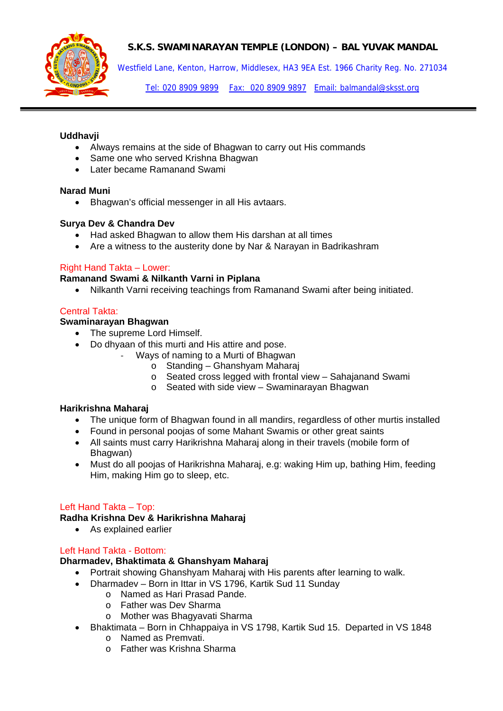

Westfield Lane, Kenton, Harrow, Middlesex, HA3 9EA Est. 1966 Charity Reg. No. 271034

Tel: 020 8909 9899 Fax: 020 8909 9897 Email: balmandal@sksst.org

#### **Uddhavji**

- Always remains at the side of Bhagwan to carry out His commands
- Same one who served Krishna Bhagwan
- Later became Ramanand Swami

#### **Narad Muni**

• Bhagwan's official messenger in all His avtaars.

#### **Surya Dev & Chandra Dev**

- Had asked Bhagwan to allow them His darshan at all times
- Are a witness to the austerity done by Nar & Narayan in Badrikashram

# Right Hand Takta – Lower:

# **Ramanand Swami & Nilkanth Varni in Piplana**

• Nilkanth Varni receiving teachings from Ramanand Swami after being initiated.

# Central Takta:

# **Swaminarayan Bhagwan**

- The supreme Lord Himself.
- Do dhyaan of this murti and His attire and pose.
	- ‐ Ways of naming to a Murti of Bhagwan
		- o Standing Ghanshyam Maharaj
		- o Seated cross legged with frontal view Sahajanand Swami
		- o Seated with side view Swaminarayan Bhagwan

#### **Harikrishna Maharaj**

- The unique form of Bhagwan found in all mandirs, regardless of other murtis installed
- Found in personal poojas of some Mahant Swamis or other great saints
- All saints must carry Harikrishna Maharaj along in their travels (mobile form of Bhagwan)
- Must do all poojas of Harikrishna Maharaj, e.g: waking Him up, bathing Him, feeding Him, making Him go to sleep, etc.

# Left Hand Takta – Top:

#### **Radha Krishna Dev & Harikrishna Maharaj**

• As explained earlier

#### Left Hand Takta - Bottom:

#### **Dharmadev, Bhaktimata & Ghanshyam Maharaj**

- Portrait showing Ghanshyam Maharaj with His parents after learning to walk.
- Dharmadev Born in Ittar in VS 1796, Kartik Sud 11 Sunday
	- o Named as Hari Prasad Pande.
	- o Father was Dev Sharma
	- o Mother was Bhagyavati Sharma
- Bhaktimata Born in Chhappaiya in VS 1798, Kartik Sud 15. Departed in VS 1848
	- o Named as Premvati.
	- o Father was Krishna Sharma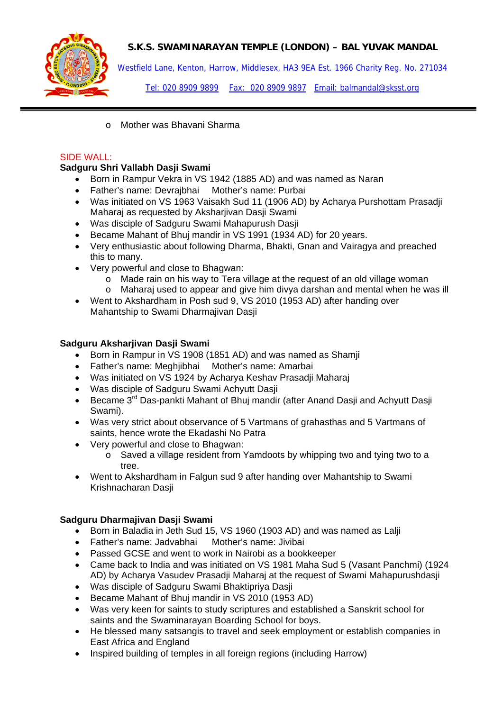

Westfield Lane, Kenton, Harrow, Middlesex, HA3 9EA Est. 1966 Charity Reg. No. 271034

Tel: 020 8909 9899 Fax: 020 8909 9897 Email: balmandal@sksst.org

o Mother was Bhavani Sharma

# SIDE WALL:

# **Sadguru Shri Vallabh Dasji Swami**

- Born in Rampur Vekra in VS 1942 (1885 AD) and was named as Naran
- Father's name: Devrajbhai Mother's name: Purbai
- Was initiated on VS 1963 Vaisakh Sud 11 (1906 AD) by Acharya Purshottam Prasadji Maharaj as requested by Aksharjivan Dasji Swami
- Was disciple of Sadguru Swami Mahapurush Dasji
- Became Mahant of Bhuj mandir in VS 1991 (1934 AD) for 20 years.
- Very enthusiastic about following Dharma, Bhakti, Gnan and Vairagya and preached this to many.
- Very powerful and close to Bhagwan:
	- o Made rain on his way to Tera village at the request of an old village woman
	- o Maharaj used to appear and give him divya darshan and mental when he was ill
- Went to Akshardham in Posh sud 9, VS 2010 (1953 AD) after handing over Mahantship to Swami Dharmajivan Dasji

# **Sadguru Aksharjivan Dasji Swami**

- Born in Rampur in VS 1908 (1851 AD) and was named as Shamji
- Father's name: Meghjibhai Mother's name: Amarbai
- Was initiated on VS 1924 by Acharya Keshav Prasadji Maharaj
- Was disciple of Sadguru Swami Achyutt Dasji
- Became 3<sup>rd</sup> Das-pankti Mahant of Bhui mandir (after Anand Dasii and Achyutt Dasii Swami).
- Was very strict about observance of 5 Vartmans of grahasthas and 5 Vartmans of saints, hence wrote the Ekadashi No Patra
- Very powerful and close to Bhagwan:
	- o Saved a village resident from Yamdoots by whipping two and tying two to a tree.
- Went to Akshardham in Falgun sud 9 after handing over Mahantship to Swami Krishnacharan Dasji

# **Sadguru Dharmajivan Dasji Swami**

- Born in Baladia in Jeth Sud 15, VS 1960 (1903 AD) and was named as Lalji
- Father's name: Jadvabhai Mother's name: Jivibai
- Passed GCSE and went to work in Nairobi as a bookkeeper
- Came back to India and was initiated on VS 1981 Maha Sud 5 (Vasant Panchmi) (1924 AD) by Acharya Vasudev Prasadji Maharaj at the request of Swami Mahapurushdasji
- Was disciple of Sadguru Swami Bhaktipriya Dasji
- Became Mahant of Bhuj mandir in VS 2010 (1953 AD)
- Was very keen for saints to study scriptures and established a Sanskrit school for saints and the Swaminarayan Boarding School for boys.
- He blessed many satsangis to travel and seek employment or establish companies in East Africa and England
- Inspired building of temples in all foreign regions (including Harrow)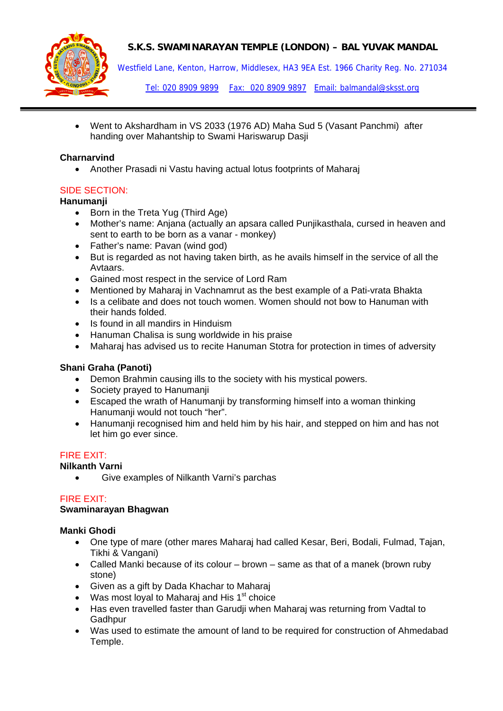

Westfield Lane, Kenton, Harrow, Middlesex, HA3 9EA Est. 1966 Charity Reg. No. 271034

Tel: 020 8909 9899 Fax: 020 8909 9897 Email: balmandal@sksst.org

• Went to Akshardham in VS 2033 (1976 AD) Maha Sud 5 (Vasant Panchmi) after handing over Mahantship to Swami Hariswarup Dasji

# **Charnarvind**

• Another Prasadi ni Vastu having actual lotus footprints of Maharaj

# SIDE SECTION:

# **Hanumanji**

- Born in the Treta Yug (Third Age)
- Mother's name: Anjana (actually an apsara called Punjikasthala, cursed in heaven and sent to earth to be born as a vanar - monkey)
- Father's name: Pavan (wind god)
- But is regarded as not having taken birth, as he avails himself in the service of all the Avtaars.
- Gained most respect in the service of Lord Ram
- Mentioned by Maharaj in Vachnamrut as the best example of a Pati-vrata Bhakta
- Is a celibate and does not touch women. Women should not bow to Hanuman with their hands folded.
- Is found in all mandirs in Hinduism
- Hanuman Chalisa is sung worldwide in his praise
- Maharaj has advised us to recite Hanuman Stotra for protection in times of adversity

# **Shani Graha (Panoti)**

- Demon Brahmin causing ills to the society with his mystical powers.
- Society prayed to Hanumanji
- Escaped the wrath of Hanumanji by transforming himself into a woman thinking Hanumanji would not touch "her".
- Hanumanji recognised him and held him by his hair, and stepped on him and has not let him go ever since.

# FIRE EXIT:

# **Nilkanth Varni**

• Give examples of Nilkanth Varni's parchas

# FIRE EXIT:

#### **Swaminarayan Bhagwan**

#### **Manki Ghodi**

- One type of mare (other mares Maharaj had called Kesar, Beri, Bodali, Fulmad, Tajan, Tikhi & Vangani)
- Called Manki because of its colour brown same as that of a manek (brown ruby stone)
- Given as a gift by Dada Khachar to Maharaj
- Was most loyal to Maharaj and His  $1<sup>st</sup>$  choice
- Has even travelled faster than Garudji when Maharaj was returning from Vadtal to Gadhpur
- Was used to estimate the amount of land to be required for construction of Ahmedabad Temple.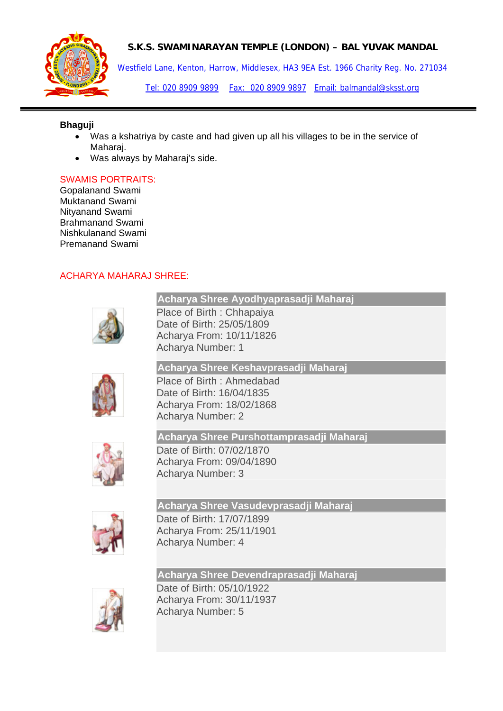

Westfield Lane, Kenton, Harrow, Middlesex, HA3 9EA Est. 1966 Charity Reg. No. 271034

Tel: 020 8909 9899 Fax: 020 8909 9897 Email: balmandal@sksst.org

#### **Bhaguji**

- Was a kshatriya by caste and had given up all his villages to be in the service of Maharaj.
- Was always by Maharaj's side.

# SWAMIS PORTRAITS:

Gopalanand Swami Muktanand Swami Nityanand Swami Brahmanand Swami Nishkulanand Swami Premanand Swami

# ACHARYA MAHARAJ SHREE:



**[Acharya Shree Ayodhyaprasadji Maharaj](http://www.swaminarayansatsang.com/library/biography/acharyadetails.asp?AcharyaID=1)**  Place of Birth : Chhapaiya

Date of Birth: 25/05/1809 Acharya From: 10/11/1826 Acharya Number: 1

**[Acharya Shree Keshavprasadji Maharaj](http://www.swaminarayansatsang.com/library/biography/acharyadetails.asp?AcharyaID=2)**  Place of Birth : Ahmedabad Date of Birth: 16/04/1835 Acharya From: 18/02/1868 Acharya Number: 2



**[Acharya Shree Purshottamprasadji Maharaj](http://www.swaminarayansatsang.com/library/biography/acharyadetails.asp?AcharyaID=3)** 

Date of Birth: 07/02/1870 Acharya From: 09/04/1890 Acharya Number: 3



**[Acharya Shree Vasudevprasadji Maharaj](http://www.swaminarayansatsang.com/library/biography/acharyadetails.asp?AcharyaID=4)**  Date of Birth: 17/07/1899 Acharya From: 25/11/1901 Acharya Number: 4



**[Acharya Shree Devendraprasadji Maharaj](http://www.swaminarayansatsang.com/library/biography/acharyadetails.asp?AcharyaID=5)**  Date of Birth: 05/10/1922 Acharya From: 30/11/1937 Acharya Number: 5